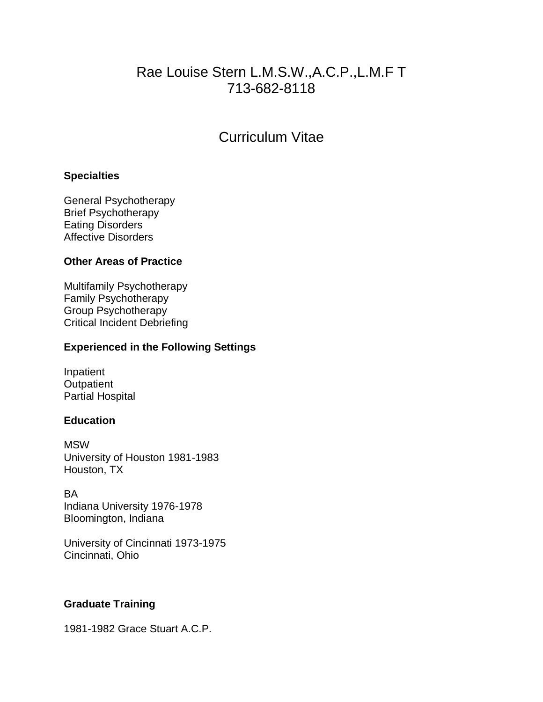# Rae Louise Stern L.M.S.W.,A.C.P.,L.M.F T 713-682-8118

# Curriculum Vitae

## **Specialties**

General Psychotherapy Brief Psychotherapy Eating Disorders Affective Disorders

# **Other Areas of Practice**

Multifamily Psychotherapy Family Psychotherapy Group Psychotherapy Critical Incident Debriefing

# **Experienced in the Following Settings**

Inpatient **Outpatient** Partial Hospital

# **Education**

**MSW** University of Houston 1981-1983 Houston, TX

BA Indiana University 1976-1978 Bloomington, Indiana

University of Cincinnati 1973-1975 Cincinnati, Ohio

# **Graduate Training**

1981-1982 Grace Stuart A.C.P.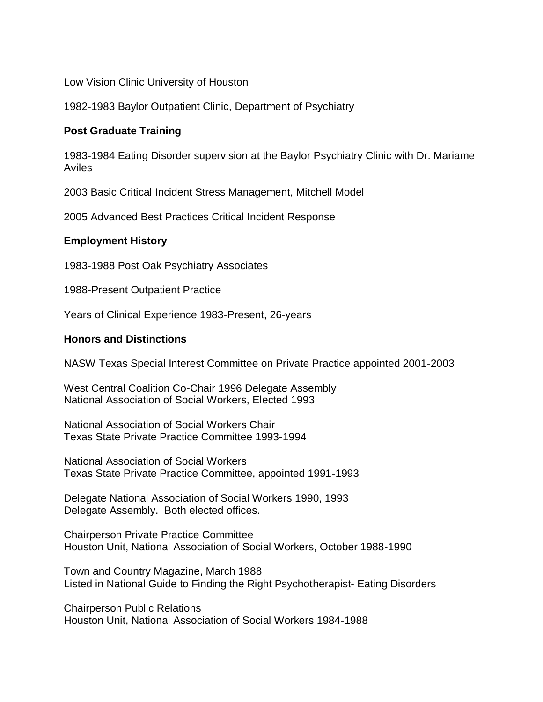Low Vision Clinic University of Houston

1982-1983 Baylor Outpatient Clinic, Department of Psychiatry

## **Post Graduate Training**

1983-1984 Eating Disorder supervision at the Baylor Psychiatry Clinic with Dr. Mariame Aviles

2003 Basic Critical Incident Stress Management, Mitchell Model

2005 Advanced Best Practices Critical Incident Response

### **Employment History**

1983-1988 Post Oak Psychiatry Associates

1988-Present Outpatient Practice

Years of Clinical Experience 1983-Present, 26-years

### **Honors and Distinctions**

NASW Texas Special Interest Committee on Private Practice appointed 2001-2003

West Central Coalition Co-Chair 1996 Delegate Assembly National Association of Social Workers, Elected 1993

National Association of Social Workers Chair Texas State Private Practice Committee 1993-1994

National Association of Social Workers Texas State Private Practice Committee, appointed 1991-1993

Delegate National Association of Social Workers 1990, 1993 Delegate Assembly. Both elected offices.

Chairperson Private Practice Committee Houston Unit, National Association of Social Workers, October 1988-1990

Town and Country Magazine, March 1988 Listed in National Guide to Finding the Right Psychotherapist- Eating Disorders

Chairperson Public Relations Houston Unit, National Association of Social Workers 1984-1988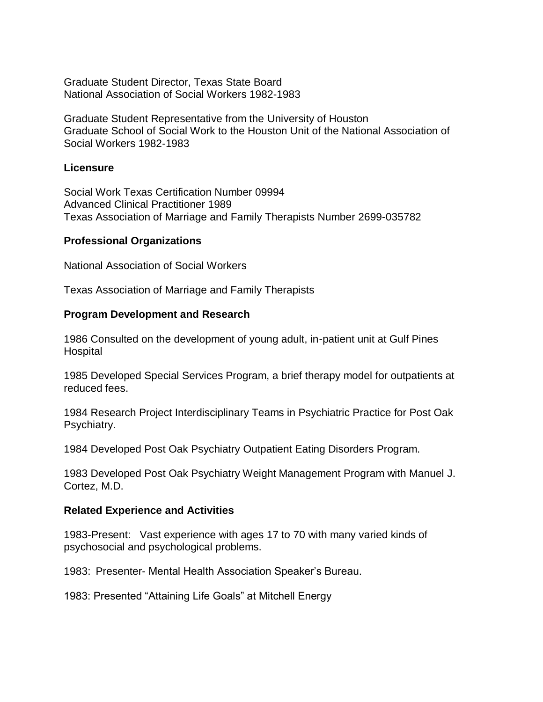Graduate Student Director, Texas State Board National Association of Social Workers 1982-1983

Graduate Student Representative from the University of Houston Graduate School of Social Work to the Houston Unit of the National Association of Social Workers 1982-1983

## **Licensure**

Social Work Texas Certification Number 09994 Advanced Clinical Practitioner 1989 Texas Association of Marriage and Family Therapists Number 2699-035782

### **Professional Organizations**

National Association of Social Workers

Texas Association of Marriage and Family Therapists

### **Program Development and Research**

1986 Consulted on the development of young adult, in-patient unit at Gulf Pines **Hospital** 

1985 Developed Special Services Program, a brief therapy model for outpatients at reduced fees.

1984 Research Project Interdisciplinary Teams in Psychiatric Practice for Post Oak Psychiatry.

1984 Developed Post Oak Psychiatry Outpatient Eating Disorders Program.

1983 Developed Post Oak Psychiatry Weight Management Program with Manuel J. Cortez, M.D.

#### **Related Experience and Activities**

1983-Present: Vast experience with ages 17 to 70 with many varied kinds of psychosocial and psychological problems.

1983: Presenter- Mental Health Association Speaker's Bureau.

1983: Presented "Attaining Life Goals" at Mitchell Energy